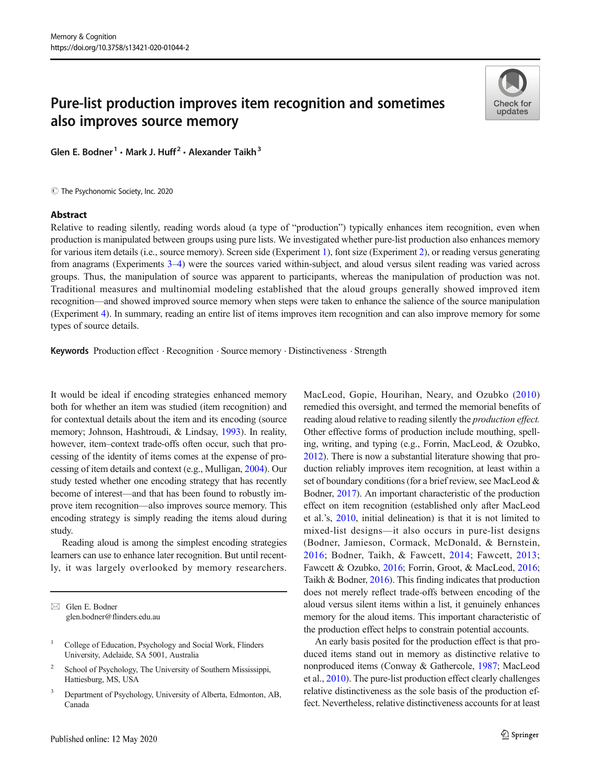# Pure-list production improves item recognition and sometimes also improves source memory

Glen E. Bodner<sup>1</sup> · Mark J. Huff<sup>2</sup> · Alexander Taikh<sup>3</sup>

 $\odot$  The Psychonomic Society, Inc. 2020

#### Abstract



Relative to reading silently, reading words aloud (a type of "production") typically enhances item recognition, even when production is manipulated between groups using pure lists. We investigated whether pure-list production also enhances memory for various item details (i.e., source memory). Screen side (Experiment [1\)](#page-2-0), font size (Experiment [2\)](#page-6-0), or reading versus generating from anagrams (Experiments [3](#page-7-0)–[4](#page-8-0)) were the sources varied within-subject, and aloud versus silent reading was varied across groups. Thus, the manipulation of source was apparent to participants, whereas the manipulation of production was not. Traditional measures and multinomial modeling established that the aloud groups generally showed improved item recognition—and showed improved source memory when steps were taken to enhance the salience of the source manipulation (Experiment [4\)](#page-8-0). In summary, reading an entire list of items improves item recognition and can also improve memory for some types of source details.

Keywords Production effect . Recognition . Source memory . Distinctiveness . Strength

It would be ideal if encoding strategies enhanced memory both for whether an item was studied (item recognition) and for contextual details about the item and its encoding (source memory; Johnson, Hashtroudi, & Lindsay, [1993\)](#page-12-0). In reality, however, item–context trade-offs often occur, such that processing of the identity of items comes at the expense of processing of item details and context (e.g., Mulligan, [2004](#page-12-0)). Our study tested whether one encoding strategy that has recently become of interest—and that has been found to robustly improve item recognition—also improves source memory. This encoding strategy is simply reading the items aloud during study.

Reading aloud is among the simplest encoding strategies learners can use to enhance later recognition. But until recently, it was largely overlooked by memory researchers.

- <sup>2</sup> School of Psychology, The University of Southern Mississippi, Hattiesburg, MS, USA
- <sup>3</sup> Department of Psychology, University of Alberta, Edmonton, AB, Canada

MacLeod, Gopie, Hourihan, Neary, and Ozubko [\(2010](#page-12-0)) remedied this oversight, and termed the memorial benefits of reading aloud relative to reading silently the production effect. Other effective forms of production include mouthing, spelling, writing, and typing (e.g., Forrin, MacLeod, & Ozubko, [2012\)](#page-11-0). There is now a substantial literature showing that production reliably improves item recognition, at least within a set of boundary conditions (for a brief review, see MacLeod & Bodner, [2017](#page-12-0)). An important characteristic of the production effect on item recognition (established only after MacLeod et al.'s, [2010,](#page-12-0) initial delineation) is that it is not limited to mixed-list designs—it also occurs in pure-list designs (Bodner, Jamieson, Cormack, McDonald, & Bernstein, [2016](#page-11-0); Bodner, Taikh, & Fawcett, [2014](#page-11-0); Fawcett, [2013;](#page-11-0) Fawcett & Ozubko, [2016;](#page-11-0) Forrin, Groot, & MacLeod, [2016;](#page-12-0) Taikh & Bodner, [2016](#page-13-0)). This finding indicates that production does not merely reflect trade-offs between encoding of the aloud versus silent items within a list, it genuinely enhances memory for the aloud items. This important characteristic of the production effect helps to constrain potential accounts.

An early basis posited for the production effect is that produced items stand out in memory as distinctive relative to nonproduced items (Conway & Gathercole, [1987](#page-11-0); MacLeod et al., [2010\)](#page-12-0). The pure-list production effect clearly challenges relative distinctiveness as the sole basis of the production effect. Nevertheless, relative distinctiveness accounts for at least

 $\boxtimes$  Glen E. Bodner [glen.bodner@flinders.edu.au](mailto:glen.bodner@flinders.edu.au)

<sup>&</sup>lt;sup>1</sup> College of Education, Psychology and Social Work, Flinders University, Adelaide, SA 5001, Australia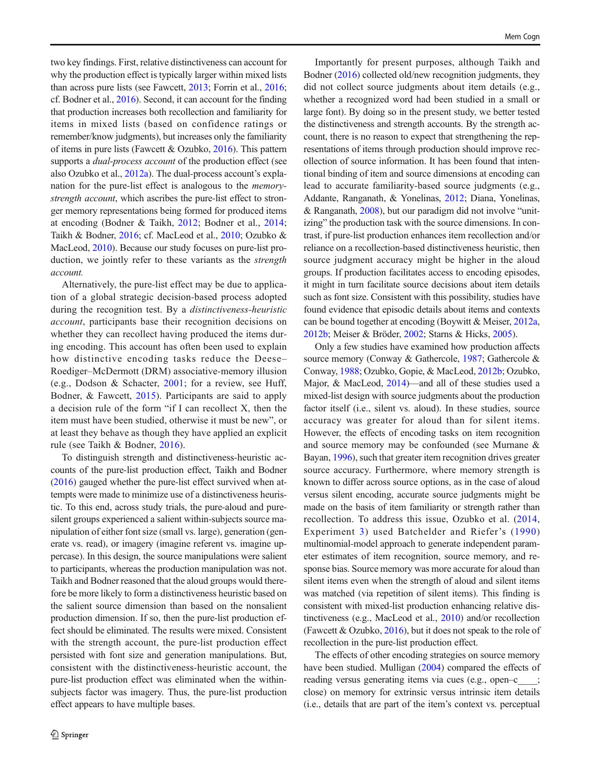two key findings. First, relative distinctiveness can account for why the production effect is typically larger within mixed lists than across pure lists (see Fawcett, [2013;](#page-11-0) Forrin et al., [2016](#page-12-0); cf. Bodner et al., [2016\)](#page-11-0). Second, it can account for the finding that production increases both recollection and familiarity for items in mixed lists (based on confidence ratings or remember/know judgments), but increases only the familiarity of items in pure lists (Fawcett & Ozubko, [2016\)](#page-11-0). This pattern supports a *dual-process account* of the production effect (see also Ozubko et al., [2012a](#page-12-0)). The dual-process account's explanation for the pure-list effect is analogous to the memorystrength account, which ascribes the pure-list effect to stronger memory representations being formed for produced items at encoding (Bodner & Taikh, [2012;](#page-11-0) Bodner et al., [2014](#page-11-0); Taikh & Bodner, [2016;](#page-13-0) cf. MacLeod et al., [2010](#page-12-0); Ozubko & MacLeod, [2010\)](#page-12-0). Because our study focuses on pure-list production, we jointly refer to these variants as the strength account.

Alternatively, the pure-list effect may be due to application of a global strategic decision-based process adopted during the recognition test. By a distinctiveness-heuristic account, participants base their recognition decisions on whether they can recollect having produced the items during encoding. This account has often been used to explain how distinctive encoding tasks reduce the Deese– Roediger–McDermott (DRM) associative-memory illusion (e.g., Dodson & Schacter, [2001;](#page-11-0) for a review, see Huff, Bodner, & Fawcett, [2015](#page-12-0)). Participants are said to apply a decision rule of the form "if I can recollect X, then the item must have been studied, otherwise it must be new", or at least they behave as though they have applied an explicit rule (see Taikh & Bodner, [2016](#page-13-0)).

To distinguish strength and distinctiveness-heuristic accounts of the pure-list production effect, Taikh and Bodner [\(2016\)](#page-11-0) gauged whether the pure-list effect survived when attempts were made to minimize use of a distinctiveness heuristic. To this end, across study trials, the pure-aloud and puresilent groups experienced a salient within-subjects source manipulation of either font size (small vs. large), generation (generate vs. read), or imagery (imagine referent vs. imagine uppercase). In this design, the source manipulations were salient to participants, whereas the production manipulation was not. Taikh and Bodner reasoned that the aloud groups would therefore be more likely to form a distinctiveness heuristic based on the salient source dimension than based on the nonsalient production dimension. If so, then the pure-list production effect should be eliminated. The results were mixed. Consistent with the strength account, the pure-list production effect persisted with font size and generation manipulations. But, consistent with the distinctiveness-heuristic account, the pure-list production effect was eliminated when the withinsubjects factor was imagery. Thus, the pure-list production effect appears to have multiple bases.

Importantly for present purposes, although Taikh and Bodner [\(2016\)](#page-11-0) collected old/new recognition judgments, they did not collect source judgments about item details (e.g., whether a recognized word had been studied in a small or large font). By doing so in the present study, we better tested the distinctiveness and strength accounts. By the strength account, there is no reason to expect that strengthening the representations of items through production should improve recollection of source information. It has been found that intentional binding of item and source dimensions at encoding can lead to accurate familiarity-based source judgments (e.g., Addante, Ranganath, & Yonelinas, [2012;](#page-11-0) Diana, Yonelinas, & Ranganath, [2008](#page-11-0)), but our paradigm did not involve "unitizing" the production task with the source dimensions. In contrast, if pure-list production enhances item recollection and/or reliance on a recollection-based distinctiveness heuristic, then source judgment accuracy might be higher in the aloud groups. If production facilitates access to encoding episodes, it might in turn facilitate source decisions about item details such as font size. Consistent with this possibility, studies have found evidence that episodic details about items and contexts can be bound together at encoding (Boywitt & Meiser, [2012a,](#page-11-0) [2012b;](#page-11-0) Meiser & Bröder, [2002;](#page-12-0) Starns & Hicks, [2005](#page-13-0)).

Only a few studies have examined how production affects source memory (Conway & Gathercole, [1987;](#page-11-0) Gathercole & Conway, [1988](#page-12-0); Ozubko, Gopie, & MacLeod, [2012b](#page-12-0); Ozubko, Major, & MacLeod, [2014](#page-13-0))—and all of these studies used a mixed-list design with source judgments about the production factor itself (i.e., silent vs. aloud). In these studies, source accuracy was greater for aloud than for silent items. However, the effects of encoding tasks on item recognition and source memory may be confounded (see Murnane & Bayan, [1996\)](#page-12-0), such that greater item recognition drives greater source accuracy. Furthermore, where memory strength is known to differ across source options, as in the case of aloud versus silent encoding, accurate source judgments might be made on the basis of item familiarity or strength rather than recollection. To address this issue, Ozubko et al. [\(2014,](#page-13-0) Experiment [3\)](#page-7-0) used Batchelder and Riefer's ([1990](#page-11-0)) multinomial-model approach to generate independent parameter estimates of item recognition, source memory, and response bias. Source memory was more accurate for aloud than silent items even when the strength of aloud and silent items was matched (via repetition of silent items). This finding is consistent with mixed-list production enhancing relative distinctiveness (e.g., MacLeod et al., [2010](#page-12-0)) and/or recollection (Fawcett & Ozubko, [2016\)](#page-11-0), but it does not speak to the role of recollection in the pure-list production effect.

The effects of other encoding strategies on source memory have been studied. Mulligan ([2004\)](#page-12-0) compared the effects of reading versus generating items via cues (e.g., open–c\_\_\_\_; close) on memory for extrinsic versus intrinsic item details (i.e., details that are part of the item's context vs. perceptual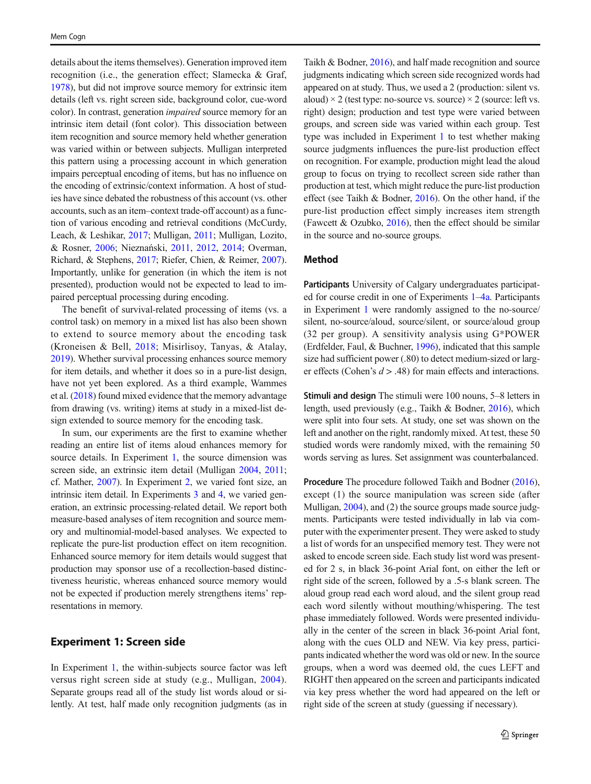<span id="page-2-0"></span>details about the items themselves). Generation improved item recognition (i.e., the generation effect; Slamecka & Graf, [1978\)](#page-13-0), but did not improve source memory for extrinsic item details (left vs. right screen side, background color, cue-word color). In contrast, generation impaired source memory for an intrinsic item detail (font color). This dissociation between item recognition and source memory held whether generation was varied within or between subjects. Mulligan interpreted this pattern using a processing account in which generation impairs perceptual encoding of items, but has no influence on the encoding of extrinsic/context information. A host of studies have since debated the robustness of this account (vs. other accounts, such as an item–context trade-off account) as a function of various encoding and retrieval conditions (McCurdy, Leach, & Leshikar, [2017](#page-12-0); Mulligan, [2011;](#page-12-0) Mulligan, Lozito, & Rosner, [2006;](#page-12-0) Nieznański, [2011,](#page-12-0) [2012,](#page-12-0) [2014;](#page-12-0) Overman, Richard, & Stephens, [2017](#page-12-0); Riefer, Chien, & Reimer, [2007\)](#page-13-0). Importantly, unlike for generation (in which the item is not presented), production would not be expected to lead to impaired perceptual processing during encoding.

The benefit of survival-related processing of items (vs. a control task) on memory in a mixed list has also been shown to extend to source memory about the encoding task (Kroneisen & Bell, [2018](#page-12-0); Misirlisoy, Tanyas, & Atalay, [2019\)](#page-12-0). Whether survival processing enhances source memory for item details, and whether it does so in a pure-list design, have not yet been explored. As a third example, Wammes et al. [\(2018\)](#page-13-0) found mixed evidence that the memory advantage from drawing (vs. writing) items at study in a mixed-list design extended to source memory for the encoding task.

In sum, our experiments are the first to examine whether reading an entire list of items aloud enhances memory for source details. In Experiment 1, the source dimension was screen side, an extrinsic item detail (Mulligan [2004,](#page-12-0) [2011](#page-12-0); cf. Mather, [2007](#page-12-0)). In Experiment [2,](#page-6-0) we varied font size, an intrinsic item detail. In Experiments [3](#page-7-0) and [4,](#page-8-0) we varied generation, an extrinsic processing-related detail. We report both measure-based analyses of item recognition and source memory and multinomial-model-based analyses. We expected to replicate the pure-list production effect on item recognition. Enhanced source memory for item details would suggest that production may sponsor use of a recollection-based distinctiveness heuristic, whereas enhanced source memory would not be expected if production merely strengthens items' representations in memory.

### Experiment 1: Screen side

In Experiment 1, the within-subjects source factor was left versus right screen side at study (e.g., Mulligan, [2004](#page-12-0)). Separate groups read all of the study list words aloud or silently. At test, half made only recognition judgments (as in

Taikh & Bodner, [2016](#page-13-0)), and half made recognition and source judgments indicating which screen side recognized words had appeared on at study. Thus, we used a 2 (production: silent vs. aloud)  $\times$  2 (test type: no-source vs. source)  $\times$  2 (source: left vs. right) design; production and test type were varied between groups, and screen side was varied within each group. Test type was included in Experiment 1 to test whether making source judgments influences the pure-list production effect on recognition. For example, production might lead the aloud group to focus on trying to recollect screen side rather than production at test, which might reduce the pure-list production effect (see Taikh & Bodner, [2016](#page-13-0)). On the other hand, if the pure-list production effect simply increases item strength (Fawcett & Ozubko,  $2016$ ), then the effect should be similar in the source and no-source groups.

#### Method

Participants University of Calgary undergraduates participated for course credit in one of Experiments 1–[4a.](#page-8-0) Participants in Experiment 1 were randomly assigned to the no-source/ silent, no-source/aloud, source/silent, or source/aloud group (32 per group). A sensitivity analysis using G\*POWER (Erdfelder, Faul, & Buchner, [1996\)](#page-11-0), indicated that this sample size had sufficient power (.80) to detect medium-sized or larger effects (Cohen's  $d > .48$ ) for main effects and interactions.

Stimuli and design The stimuli were 100 nouns, 5–8 letters in length, used previously (e.g., Taikh & Bodner, [2016\)](#page-13-0), which were split into four sets. At study, one set was shown on the left and another on the right, randomly mixed. At test, these 50 studied words were randomly mixed, with the remaining 50 words serving as lures. Set assignment was counterbalanced.

Procedure The procedure followed Taikh and Bodner [\(2016\)](#page-11-0), except (1) the source manipulation was screen side (after Mulligan, [2004\)](#page-12-0), and (2) the source groups made source judgments. Participants were tested individually in lab via computer with the experimenter present. They were asked to study a list of words for an unspecified memory test. They were not asked to encode screen side. Each study list word was presented for 2 s, in black 36-point Arial font, on either the left or right side of the screen, followed by a .5-s blank screen. The aloud group read each word aloud, and the silent group read each word silently without mouthing/whispering. The test phase immediately followed. Words were presented individually in the center of the screen in black 36-point Arial font, along with the cues OLD and NEW. Via key press, participants indicated whether the word was old or new. In the source groups, when a word was deemed old, the cues LEFT and RIGHT then appeared on the screen and participants indicated via key press whether the word had appeared on the left or right side of the screen at study (guessing if necessary).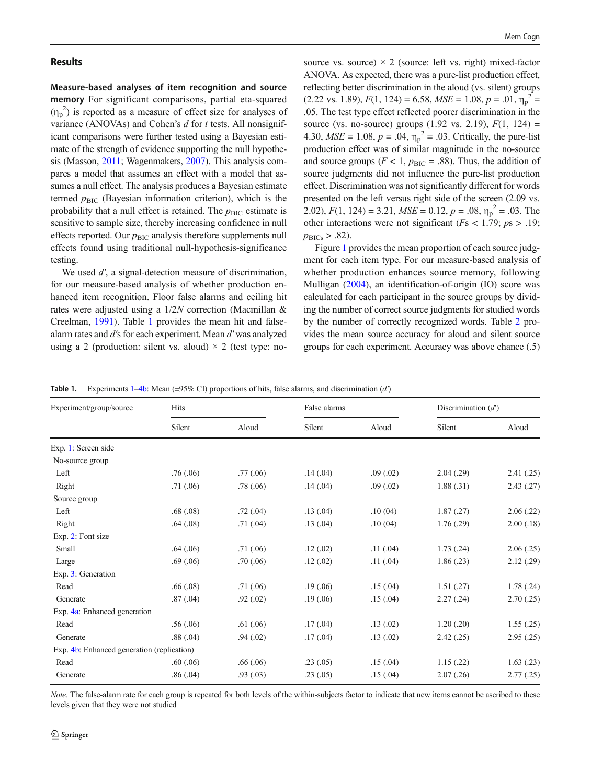#### <span id="page-3-0"></span>Results

Measure-based analyses of item recognition and source memory For significant comparisons, partial eta-squared  $(\eta_p^2)$  is reported as a measure of effect size for analyses of variance (ANOVAs) and Cohen's d for t tests. All nonsignificant comparisons were further tested using a Bayesian estimate of the strength of evidence supporting the null hypothesis (Masson, [2011;](#page-12-0) Wagenmakers, [2007\)](#page-13-0). This analysis compares a model that assumes an effect with a model that assumes a null effect. The analysis produces a Bayesian estimate termed  $p<sub>BIC</sub>$  (Bayesian information criterion), which is the probability that a null effect is retained. The  $p_{\text{BIC}}$  estimate is sensitive to sample size, thereby increasing confidence in null effects reported. Our  $p<sub>BIC</sub>$  analysis therefore supplements null effects found using traditional null-hypothesis-significance testing.

We used d', a signal-detection measure of discrimination, for our measure-based analysis of whether production enhanced item recognition. Floor false alarms and ceiling hit rates were adjusted using a 1/2N correction (Macmillan & Creelman, [1991\)](#page-12-0). Table 1 provides the mean hit and falsealarm rates and d′s for each experiment. Mean d′ was analyzed using a 2 (production: silent vs. aloud)  $\times$  2 (test type: nosource vs. source)  $\times$  2 (source: left vs. right) mixed-factor ANOVA. As expected, there was a pure-list production effect, reflecting better discrimination in the aloud (vs. silent) groups  $(2.22 \text{ vs. } 1.89), F(1, 124) = 6.58, MSE = 1.08, p = .01, \eta_p^2 =$ .05. The test type effect reflected poorer discrimination in the source (vs. no-source) groups (1.92 vs. 2.19),  $F(1, 124) =$ 4.30,  $MSE = 1.08$ ,  $p = .04$ ,  $\eta_p^2 = .03$ . Critically, the pure-list production effect was of similar magnitude in the no-source and source groups ( $F < 1$ ,  $p_{BIC} = .88$ ). Thus, the addition of source judgments did not influence the pure-list production effect. Discrimination was not significantly different for words presented on the left versus right side of the screen (2.09 vs. 2.02),  $F(1, 124) = 3.21$ ,  $MSE = 0.12$ ,  $p = .08$ ,  $\eta_p^2 = .03$ . The other interactions were not significant ( $Fs < 1.79$ ;  $ps > .19$ ;  $p_{\rm BICs} > .82$ ).

Figure [1](#page-4-0) provides the mean proportion of each source judgment for each item type. For our measure-based analysis of whether production enhances source memory, following Mulligan ([2004\)](#page-12-0), an identification-of-origin (IO) score was calculated for each participant in the source groups by dividing the number of correct source judgments for studied words by the number of correctly recognized words. Table [2](#page-4-0) provides the mean source accuracy for aloud and silent source groups for each experiment. Accuracy was above chance (.5)

| Table 1. | Experiments 1–4b: Mean ( $\pm$ 95% CI) proportions of hits, false alarms, and discrimination (d') |  |  |  |  |  |  |  |
|----------|---------------------------------------------------------------------------------------------------|--|--|--|--|--|--|--|
|----------|---------------------------------------------------------------------------------------------------|--|--|--|--|--|--|--|

| Experiment/group/source                    | <b>Hits</b> |           | False alarms |           | Discrimination $(d')$ |            |  |
|--------------------------------------------|-------------|-----------|--------------|-----------|-----------------------|------------|--|
|                                            | Silent      | Aloud     | Silent       | Aloud     | Silent                | Aloud      |  |
| Exp. 1: Screen side                        |             |           |              |           |                       |            |  |
| No-source group                            |             |           |              |           |                       |            |  |
| Left                                       | .76(.06)    | .77(0.06) | .14(.04)     | .09(0.02) | 2.04(.29)             | 2.41(.25)  |  |
| Right                                      | .71(0.06)   | .78(.06)  | .14(.04)     | .09(0.02) | 1.88(.31)             | 2.43(.27)  |  |
| Source group                               |             |           |              |           |                       |            |  |
| Left                                       | .68(.08)    | .72(.04)  | .13(0.04)    | .10(04)   | 1.87(.27)             | 2.06(.22)  |  |
| Right                                      | .64(.08)    | .71(0.04) | .13(0.04)    | .10(04)   | 1.76(.29)             | 2.00(.18)  |  |
| Exp. 2: Font size                          |             |           |              |           |                       |            |  |
| Small                                      | .64(.06)    | .71(0.06) | .12(.02)     | .11(.04)  | 1.73(.24)             | 2.06(.25)  |  |
| Large                                      | .69(.06)    | .70(0.06) | .12(.02)     | .11(0.04) | 1.86(.23)             | 2.12(.29)  |  |
| Exp. 3: Generation                         |             |           |              |           |                       |            |  |
| Read                                       | .66(.08)    | .71(0.06) | .19(0.06)    | .15(.04)  | 1.51(.27)             | 1.78(.24)  |  |
| Generate                                   | .87(.04)    | .92(.02)  | .19(0.06)    | .15(.04)  | 2.27(.24)             | 2.70(.25)  |  |
| Exp. 4a: Enhanced generation               |             |           |              |           |                       |            |  |
| Read                                       | .56(.06)    | .61(.06)  | .17(0.04)    | .13(0.02) | 1.20(.20)             | 1.55(.25)  |  |
| Generate                                   | .88(.04)    | .94(0.02) | .17(0.04)    | .13(02)   | 2.42(.25)             | 2.95(.25)  |  |
| Exp. 4b: Enhanced generation (replication) |             |           |              |           |                       |            |  |
| Read                                       | .60(.06)    | .66(.06)  | .23(0.05)    | .15(.04)  | 1.15(.22)             | 1.63(0.23) |  |
| Generate                                   | .86(.04)    | .93(0.03) | .23(0.05)    | .15(.04)  | 2.07(.26)             | 2.77(.25)  |  |

Note. The false-alarm rate for each group is repeated for both levels of the within-subjects factor to indicate that new items cannot be ascribed to these levels given that they were not studied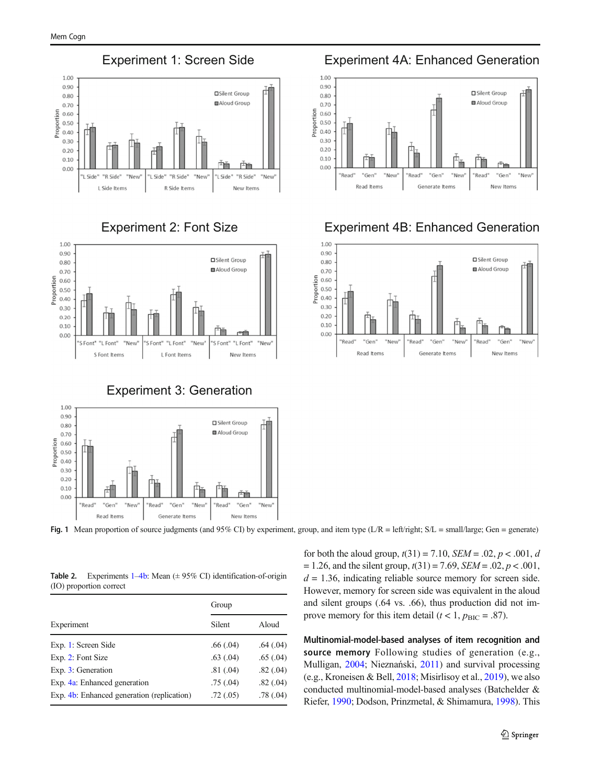<span id="page-4-0"></span>



Experiment 3: Generation



Fig. 1 Mean proportion of source judgments (and 95% CI) by experiment, group, and item type (L/R = left/right; S/L = small/large; Gen = generate)

**Table 2.** Experiments  $1-4b$  $1-4b$  $1-4b$ : Mean  $(± 95\%$  CI) identification-of-origin (IO) proportion correct

|                                            | Group     |           |  |  |
|--------------------------------------------|-----------|-----------|--|--|
| Experiment                                 | Silent    | Aloud     |  |  |
| Exp. 1: Screen Side                        | .66(0.04) | .64(0.04) |  |  |
| Exp. 2: Font Size                          | .63(0.04) | .65(.04)  |  |  |
| Exp. 3: Generation                         | .81(.04)  | .82(0.04) |  |  |
| Exp. 4a: Enhanced generation               | .75(.04)  | .82(0.04) |  |  |
| Exp. 4b: Enhanced generation (replication) | .72(0.05) | .78(.04)  |  |  |

Experiment 1: Screen Side Experiment 4A: Enhanced Generation



# Experiment 2: Font Size Experiment 4B: Enhanced Generation



for both the aloud group,  $t(31) = 7.10$ ,  $SEM = .02$ ,  $p < .001$ , d  $= 1.26$ , and the silent group,  $t(31) = 7.69$ ,  $SEM = .02$ ,  $p < .001$ ,  $d = 1.36$ , indicating reliable source memory for screen side. However, memory for screen side was equivalent in the aloud and silent groups (.64 vs. .66), thus production did not improve memory for this item detail ( $t < 1$ ,  $p_{\text{BIC}} = .87$ ).

Multinomial-model-based analyses of item recognition and source memory Following studies of generation (e.g., Mulligan, [2004;](#page-12-0) Nieznański, [2011](#page-12-0)) and survival processing (e.g., Kroneisen & Bell, [2018](#page-12-0); Misirlisoy et al., [2019\)](#page-12-0), we also conducted multinomial-model-based analyses (Batchelder & Riefer, [1990](#page-11-0); Dodson, Prinzmetal, & Shimamura, [1998](#page-11-0)). This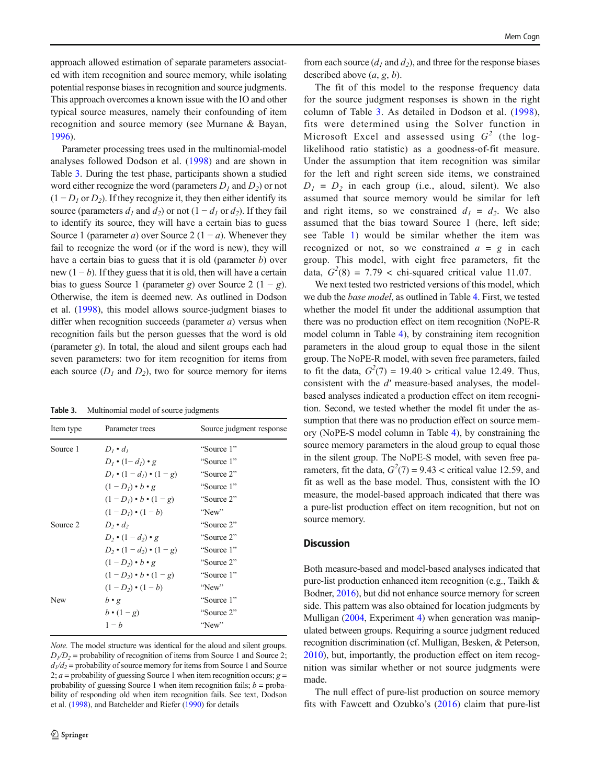approach allowed estimation of separate parameters associated with item recognition and source memory, while isolating potential response biases in recognition and source judgments. This approach overcomes a known issue with the IO and other typical source measures, namely their confounding of item recognition and source memory (see Murnane & Bayan, [1996\)](#page-12-0).

Parameter processing trees used in the multinomial-model analyses followed Dodson et al. [\(1998](#page-11-0)) and are shown in Table 3. During the test phase, participants shown a studied word either recognize the word (parameters  $D_1$  and  $D_2$ ) or not  $(1 - D<sub>1</sub>$  or  $D<sub>2</sub>$ ). If they recognize it, they then either identify its source (parameters  $d_1$  and  $d_2$ ) or not (1 –  $d_1$  or  $d_2$ ). If they fail to identify its source, they will have a certain bias to guess Source 1 (parameter a) over Source 2  $(1 - a)$ . Whenever they fail to recognize the word (or if the word is new), they will have a certain bias to guess that it is old (parameter b) over new  $(1 - b)$ . If they guess that it is old, then will have a certain bias to guess Source 1 (parameter g) over Source 2 (1 – g). Otherwise, the item is deemed new. As outlined in Dodson et al. [\(1998](#page-11-0)), this model allows source-judgment biases to differ when recognition succeeds (parameter  $a$ ) versus when recognition fails but the person guesses that the word is old (parameter  $g$ ). In total, the aloud and silent groups each had seven parameters: two for item recognition for items from each source  $(D_1 \text{ and } D_2)$ , two for source memory for items

Table 3. Multinomial model of source judgments

| Item type | Parameter trees                         | Source judgment response |
|-----------|-----------------------------------------|--------------------------|
| Source 1  | $D_i \cdot d_i$                         | "Source 1"               |
|           | $D_1 \bullet (1-d_1) \bullet g$         | "Source 1"               |
|           | $D_1 \bullet (1-d_1) \bullet (1-g)$     | "Source 2"               |
|           | $(1-D_i)\bullet b\bullet g$             | "Source 1"               |
|           | $(1-D_1)\bullet b\bullet (1-g)$         | "Source 2"               |
|           | $(1-D_i) \cdot (1-b)$                   | "New"                    |
| Source 2  | $D_2 \bullet d_2$                       | "Source 2"               |
|           | $D_2 \cdot (1 - d_2) \cdot g$           | "Source 2"               |
|           | $D_2 \bullet (1 - d_2) \bullet (1 - g)$ | "Source 1"               |
|           | $(1-D_2)\bullet b\bullet g$             | "Source 2"               |
|           | $(1-D_2)\bullet b\bullet (1-g)$         | "Source 1"               |
|           | $(1-D_2) \cdot (1-b)$                   | "New"                    |
| New       | $b \cdot g$                             | "Source 1"               |
|           | $b \cdot (1-g)$                         | "Source 2"               |
|           | $1-h$                                   | "New"                    |
|           |                                         |                          |

Note. The model structure was identical for the aloud and silent groups.  $D_1/D_2$  = probability of recognition of items from Source 1 and Source 2;  $d_1/d_2$  = probability of source memory for items from Source 1 and Source 2;  $a$  = probability of guessing Source 1 when item recognition occurs;  $g =$ probability of guessing Source 1 when item recognition fails;  $b =$  probability of responding old when item recognition fails. See text, Dodson et al. ([1998](#page-11-0)), and Batchelder and Riefer [\(1990\)](#page-11-0) for details

from each source  $(d_1 \text{ and } d_2)$ , and three for the response biases described above  $(a, g, b)$ .

The fit of this model to the response frequency data for the source judgment responses is shown in the right column of Table 3. As detailed in Dodson et al. ([1998](#page-11-0)), fits were determined using the Solver function in Microsoft Excel and assessed using  $G<sup>2</sup>$  (the loglikelihood ratio statistic) as a goodness-of-fit measure. Under the assumption that item recognition was similar for the left and right screen side items, we constrained  $D_1 = D_2$  in each group (i.e., aloud, silent). We also assumed that source memory would be similar for left and right items, so we constrained  $d_1 = d_2$ . We also assumed that the bias toward Source 1 (here, left side; see Table [1](#page-3-0)) would be similar whether the item was recognized or not, so we constrained  $a = g$  in each group. This model, with eight free parameters, fit the data,  $G<sup>2</sup>(8) = 7.79 <$  chi-squared critical value 11.07.

We next tested two restricted versions of this model, which we dub the base model, as outlined in Table [4](#page-6-0). First, we tested whether the model fit under the additional assumption that there was no production effect on item recognition (NoPE-R model column in Table [4\)](#page-6-0), by constraining item recognition parameters in the aloud group to equal those in the silent group. The NoPE-R model, with seven free parameters, failed to fit the data,  $G^2(7) = 19.40$  > critical value 12.49. Thus, consistent with the d′ measure-based analyses, the modelbased analyses indicated a production effect on item recognition. Second, we tested whether the model fit under the assumption that there was no production effect on source memory (NoPE-S model column in Table [4](#page-6-0)), by constraining the source memory parameters in the aloud group to equal those in the silent group. The NoPE-S model, with seven free parameters, fit the data,  $G^2(7) = 9.43$  < critical value 12.59, and fit as well as the base model. Thus, consistent with the IO measure, the model-based approach indicated that there was a pure-list production effect on item recognition, but not on source memory.

#### **Discussion**

Both measure-based and model-based analyses indicated that pure-list production enhanced item recognition (e.g., Taikh & Bodner, [2016\)](#page-13-0), but did not enhance source memory for screen side. This pattern was also obtained for location judgments by Mulligan ([2004](#page-12-0), Experiment [4](#page-8-0)) when generation was manipulated between groups. Requiring a source judgment reduced recognition discrimination (cf. Mulligan, Besken, & Peterson, [2010\)](#page-12-0), but, importantly, the production effect on item recognition was similar whether or not source judgments were made.

The null effect of pure-list production on source memory fits with Fawcett and Ozubko's [\(2016\)](#page-11-0) claim that pure-list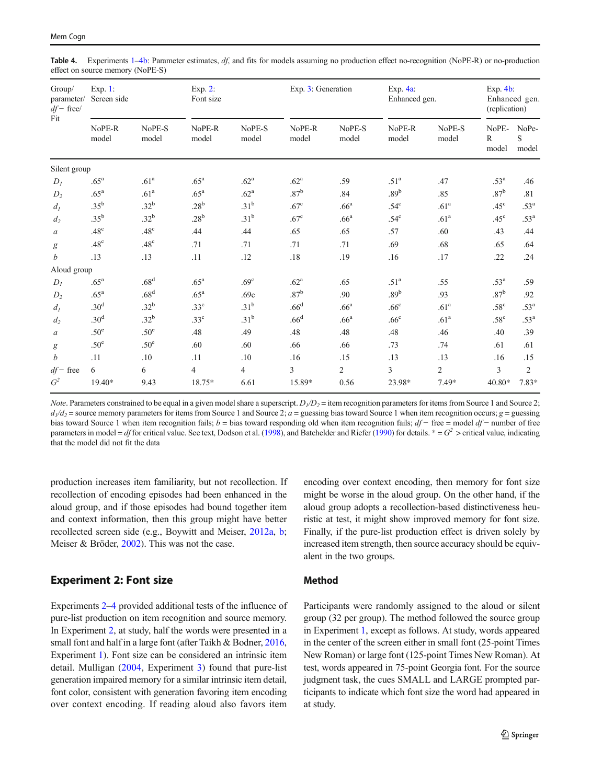<span id="page-6-0"></span>Table 4. Experiments [1](#page-2-0)–[4b](#page-9-0): Parameter estimates,  $df$ , and fits for models assuming no production effect no-recognition (NoPE-R) or no-production effect on source memory (NoPE-S)

| Group/<br>parameter/<br>$df$ - free/<br>Fit | Exp. 1:<br>Screen side |                  | Exp. 2:<br>Font size |                  | Exp. 3: Generation |                  | Exp. $4a$ :<br>Enhanced gen. |                  | Exp. $4b$ :<br>Enhanced gen.<br>(replication) |                     |
|---------------------------------------------|------------------------|------------------|----------------------|------------------|--------------------|------------------|------------------------------|------------------|-----------------------------------------------|---------------------|
|                                             | NoPE-R<br>model        | NoPE-S<br>model  | NoPE-R<br>model      | NoPE-S<br>model  | NoPE-R<br>model    | NoPE-S<br>model  | NoPE-R<br>model              | NoPE-S<br>model  | NoPE-<br>$\mathbb{R}$<br>model                | NoPe-<br>S<br>model |
| Silent group                                |                        |                  |                      |                  |                    |                  |                              |                  |                                               |                     |
| $D_I$                                       | .65 <sup>a</sup>       | .61 <sup>a</sup> | .65 <sup>a</sup>     | .62 <sup>a</sup> | .62 <sup>a</sup>   | .59              | .51 <sup>a</sup>             | .47              | .53 <sup>a</sup>                              | .46                 |
| $D_2$                                       | $.65^{\mathrm{a}}$     | .61 <sup>a</sup> | $.65^{\mathrm{a}}$   | .62 <sup>a</sup> | .87 <sup>b</sup>   | .84              | .89 <sup>b</sup>             | .85              | .87 <sup>b</sup>                              | .81                 |
| $d_I$                                       | $.35^{\rm b}$          | .32 <sup>b</sup> | .28 <sup>b</sup>     | .31 <sup>b</sup> | .67 <sup>c</sup>   | .66 <sup>a</sup> | $.54^{\circ}$                | .61 <sup>a</sup> | .45 <sup>c</sup>                              | .53 <sup>a</sup>    |
| $d_2$                                       | $.35^{\rm b}$          | .32 <sup>b</sup> | .28 <sup>b</sup>     | .31 <sup>b</sup> | .67 <sup>c</sup>   | .66 <sup>a</sup> | $.54^{\circ}$                | .61 <sup>a</sup> | .45 <sup>c</sup>                              | .53 <sup>a</sup>    |
| $\boldsymbol{a}$                            | .48 <sup>c</sup>       | .48 <sup>c</sup> | .44                  | .44              | .65                | .65              | .57                          | .60              | .43                                           | .44                 |
| g                                           | .48 <sup>c</sup>       | .48 <sup>c</sup> | .71                  | .71              | .71                | .71              | .69                          | .68              | .65                                           | .64                 |
| $\boldsymbol{b}$                            | .13                    | .13              | .11                  | .12              | .18                | .19              | .16                          | .17              | .22                                           | .24                 |
| Aloud group                                 |                        |                  |                      |                  |                    |                  |                              |                  |                                               |                     |
| $D_I$                                       | .65 <sup>a</sup>       | .68 <sup>d</sup> | .65 <sup>a</sup>     | .69 <sup>c</sup> | .62 <sup>a</sup>   | .65              | .51 <sup>a</sup>             | .55              | .53 <sup>a</sup>                              | .59                 |
| $D_2$                                       | .65 <sup>a</sup>       | .68 <sup>d</sup> | .65 <sup>a</sup>     | .69c             | .87 <sup>b</sup>   | .90              | .89 <sup>b</sup>             | .93              | .87 <sup>b</sup>                              | .92                 |
| $d_I$                                       | .30 <sup>d</sup>       | .32 <sup>b</sup> | .33 <sup>c</sup>     | .31 <sup>b</sup> | .66 <sup>d</sup>   | .66 <sup>a</sup> | .66 <sup>c</sup>             | .61 <sup>a</sup> | .58 <sup>c</sup>                              | .53 <sup>a</sup>    |
| $d_2$                                       | .30 <sup>d</sup>       | .32 <sup>b</sup> | .33 <sup>c</sup>     | .31 <sup>b</sup> | .66 <sup>d</sup>   | .66 <sup>a</sup> | .66 <sup>c</sup>             | .61 <sup>a</sup> | .58 <sup>c</sup>                              | .53 <sup>a</sup>    |
| $\boldsymbol{a}$                            | .50 <sup>e</sup>       | .50 <sup>e</sup> | .48                  | .49              | .48                | .48              | .48                          | .46              | .40                                           | .39                 |
| $\boldsymbol{g}$                            | .50 <sup>e</sup>       | .50 <sup>e</sup> | .60                  | .60              | .66                | .66              | .73                          | .74              | .61                                           | .61                 |
| $\boldsymbol{b}$                            | .11                    | .10              | .11                  | .10              | .16                | .15              | .13                          | .13              | .16                                           | .15                 |
| $df$ - free                                 | 6                      | 6                | $\overline{4}$       | $\overline{4}$   | 3                  | $\overline{2}$   | $\overline{3}$               | $\overline{c}$   | 3                                             | $\overline{2}$      |
| G <sup>2</sup>                              | 19.40*                 | 9.43             | 18.75*               | 6.61             | 15.89*             | 0.56             | 23.98*                       | 7.49*            | 40.80*                                        | $7.83*$             |

*Note*. Parameters constrained to be equal in a given model share a superscript.  $D_1/D_2$  = item recognition parameters for items from Source 1 and Source 2;  $d_1/d_2$  = source memory parameters for items from Source 1 and Source 2;  $a =$  guessing bias toward Source 1 when item recognition occurs;  $g =$  guessing bias toward Source 1 when item recognition fails; b = bias toward responding old when item recognition fails;  $df -$  free = model  $df -$  number of free parameters in model = df for critical value. See text, Dodson et al. [\(1998\)](#page-11-0), and Batchelder and Riefer [\(1990\)](#page-11-0) for details.  $* = G^2$  > critical value, indicating that the model did not fit the data

production increases item familiarity, but not recollection. If recollection of encoding episodes had been enhanced in the aloud group, and if those episodes had bound together item and context information, then this group might have better recollected screen side (e.g., Boywitt and Meiser, [2012a,](#page-11-0) [b](#page-11-0); Meiser & Bröder, [2002\)](#page-12-0). This was not the case.

# Experiment 2: Font size

Experiments 2–[4](#page-8-0) provided additional tests of the influence of pure-list production on item recognition and source memory. In Experiment 2, at study, half the words were presented in a small font and half in a large font (after Taikh & Bodner, [2016,](#page-13-0) Experiment [1](#page-2-0)). Font size can be considered an intrinsic item detail. Mulligan ([2004,](#page-12-0) Experiment [3\)](#page-7-0) found that pure-list generation impaired memory for a similar intrinsic item detail, font color, consistent with generation favoring item encoding over context encoding. If reading aloud also favors item

encoding over context encoding, then memory for font size might be worse in the aloud group. On the other hand, if the aloud group adopts a recollection-based distinctiveness heuristic at test, it might show improved memory for font size. Finally, if the pure-list production effect is driven solely by increased item strength, then source accuracy should be equivalent in the two groups.

# Method

Participants were randomly assigned to the aloud or silent group (32 per group). The method followed the source group in Experiment [1,](#page-2-0) except as follows. At study, words appeared in the center of the screen either in small font (25-point Times New Roman) or large font (125-point Times New Roman). At test, words appeared in 75-point Georgia font. For the source judgment task, the cues SMALL and LARGE prompted participants to indicate which font size the word had appeared in at study.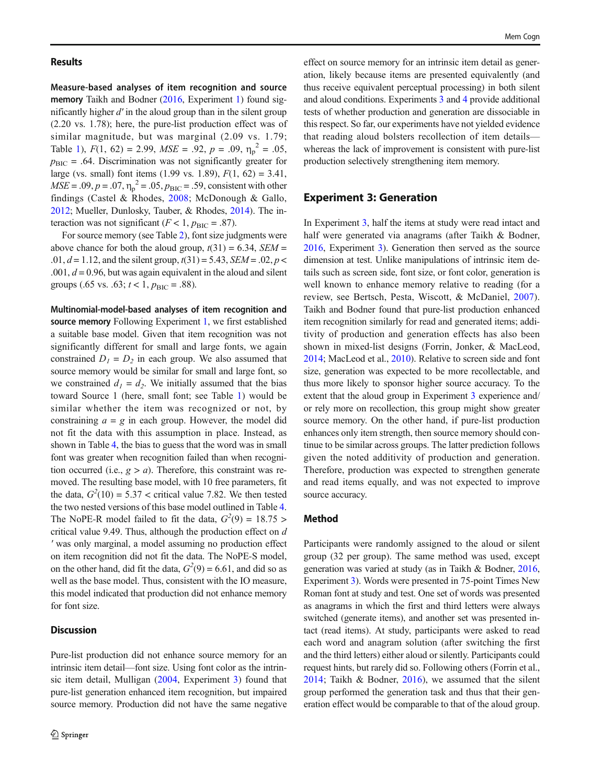#### <span id="page-7-0"></span>Results

Measure-based analyses of item recognition and source memory Taikh and Bodner [\(2016,](#page-11-0) Experiment [1](#page-2-0)) found significantly higher  $d'$  in the aloud group than in the silent group (2.20 vs. 1.78); here, the pure-list production effect was of similar magnitude, but was marginal (2.09 vs. 1.79; Table [1](#page-3-0)),  $F(1, 62) = 2.99$ ,  $MSE = .92$ ,  $p = .09$ ,  $\eta_p^2 = .05$ ,  $p_{\text{BIC}}$  = .64. Discrimination was not significantly greater for large (vs. small) font items (1.99 vs. 1.89),  $F(1, 62) = 3.41$ ,  $MSE = .09, p = .07, \eta_p^2 = .05, p_{BIC} = .59$ , consistent with other findings (Castel & Rhodes, [2008](#page-13-0); McDonough & Gallo, [2012;](#page-12-0) Mueller, Dunlosky, Tauber, & Rhodes, [2014\)](#page-12-0). The interaction was not significant ( $F < 1$ ,  $p_{\text{BIC}} = .87$ ).

For source memory (see Table [2\)](#page-4-0), font size judgments were above chance for both the aloud group,  $t(31) = 6.34$ , SEM = .01,  $d = 1.12$ , and the silent group,  $t(31) = 5.43$ ,  $SEM = .02$ ,  $p <$ .001,  $d = 0.96$ , but was again equivalent in the aloud and silent groups (.65 vs. .63;  $t < 1$ ,  $p_{\text{BIC}} = .88$ ).

Multinomial-model-based analyses of item recognition and source memory Following Experiment [1](#page-2-0), we first established a suitable base model. Given that item recognition was not significantly different for small and large fonts, we again constrained  $D_1 = D_2$  in each group. We also assumed that source memory would be similar for small and large font, so we constrained  $d_1 = d_2$ . We initially assumed that the bias toward Source 1 (here, small font; see Table [1\)](#page-3-0) would be similar whether the item was recognized or not, by constraining  $a = g$  in each group. However, the model did not fit the data with this assumption in place. Instead, as shown in Table [4](#page-6-0), the bias to guess that the word was in small font was greater when recognition failed than when recognition occurred (i.e.,  $g > a$ ). Therefore, this constraint was removed. The resulting base model, with 10 free parameters, fit the data,  $G^2(10) = 5.37$  < critical value 7.82. We then tested the two nested versions of this base model outlined in Table [4.](#page-6-0) The NoPE-R model failed to fit the data,  $G^2(9) = 18.75$ critical value 9.49. Thus, although the production effect on d ′ was only marginal, a model assuming no production effect on item recognition did not fit the data. The NoPE-S model, on the other hand, did fit the data,  $G^2(9) = 6.61$ , and did so as well as the base model. Thus, consistent with the IO measure, this model indicated that production did not enhance memory for font size.

#### **Discussion**

Pure-list production did not enhance source memory for an intrinsic item detail—font size. Using font color as the intrinsic item detail, Mulligan ([2004,](#page-12-0) Experiment 3) found that pure-list generation enhanced item recognition, but impaired source memory. Production did not have the same negative

effect on source memory for an intrinsic item detail as generation, likely because items are presented equivalently (and thus receive equivalent perceptual processing) in both silent and aloud conditions. Experiments 3 and [4](#page-8-0) provide additional tests of whether production and generation are dissociable in this respect. So far, our experiments have not yielded evidence that reading aloud bolsters recollection of item details whereas the lack of improvement is consistent with pure-list production selectively strengthening item memory.

#### Experiment 3: Generation

In Experiment 3, half the items at study were read intact and half were generated via anagrams (after Taikh & Bodner, [2016,](#page-13-0) Experiment 3). Generation then served as the source dimension at test. Unlike manipulations of intrinsic item details such as screen side, font size, or font color, generation is well known to enhance memory relative to reading (for a review, see Bertsch, Pesta, Wiscott, & McDaniel, [2007](#page-11-0)). Taikh and Bodner found that pure-list production enhanced item recognition similarly for read and generated items; additivity of production and generation effects has also been shown in mixed-list designs (Forrin, Jonker, & MacLeod, [2014;](#page-11-0) MacLeod et al., [2010\)](#page-12-0). Relative to screen side and font size, generation was expected to be more recollectable, and thus more likely to sponsor higher source accuracy. To the extent that the aloud group in Experiment 3 experience and/ or rely more on recollection, this group might show greater source memory. On the other hand, if pure-list production enhances only item strength, then source memory should continue to be similar across groups. The latter prediction follows given the noted additivity of production and generation. Therefore, production was expected to strengthen generate and read items equally, and was not expected to improve source accuracy.

#### Method

Participants were randomly assigned to the aloud or silent group (32 per group). The same method was used, except generation was varied at study (as in Taikh & Bodner, [2016,](#page-13-0) Experiment 3). Words were presented in 75-point Times New Roman font at study and test. One set of words was presented as anagrams in which the first and third letters were always switched (generate items), and another set was presented intact (read items). At study, participants were asked to read each word and anagram solution (after switching the first and the third letters) either aloud or silently. Participants could request hints, but rarely did so. Following others (Forrin et al., [2014](#page-11-0); Taikh & Bodner, [2016\)](#page-13-0), we assumed that the silent group performed the generation task and thus that their generation effect would be comparable to that of the aloud group.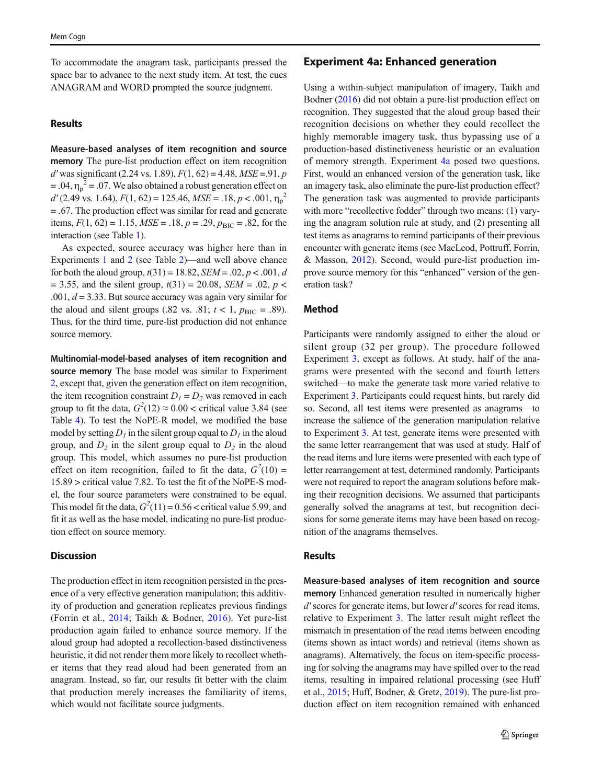<span id="page-8-0"></span>To accommodate the anagram task, participants pressed the space bar to advance to the next study item. At test, the cues ANAGRAM and WORD prompted the source judgment.

#### Results

Measure-based analyses of item recognition and source memory The pure-list production effect on item recognition  $d'$  was significant (2.24 vs. 1.89),  $F(1, 62) = 4.48$ ,  $MSE = .91$ , p  $= .04, \eta_p^2 = .07$ . We also obtained a robust generation effect on  $d'(2.49 \text{ vs. } 1.64)$ ,  $F(1, 62) = 125.46$ ,  $MSE = .18$ ,  $p < .001$ ,  $\eta_p^2$ = .67. The production effect was similar for read and generate items,  $F(1, 62) = 1.15$ ,  $MSE = .18$ ,  $p = .29$ ,  $p_{BIC} = .82$ , for the interaction (see Table [1\)](#page-3-0).

As expected, source accuracy was higher here than in Experiments [1](#page-2-0) and [2](#page-6-0) (see Table [2](#page-4-0))—and well above chance for both the aloud group,  $t(31) = 18.82$ ,  $SEM = .02$ ,  $p < .001$ , d  $= 3.55$ , and the silent group,  $t(31) = 20.08$ , SEM = .02, p < .001,  $d = 3.33$ . But source accuracy was again very similar for the aloud and silent groups (.82 vs. .81;  $t < 1$ ,  $p_{\text{BIC}} = .89$ ). Thus, for the third time, pure-list production did not enhance source memory.

Multinomial-model-based analyses of item recognition and source memory The base model was similar to Experiment [2,](#page-6-0) except that, given the generation effect on item recognition, the item recognition constraint  $D_1 = D_2$  was removed in each group to fit the data,  $G^2(12) \approx 0.00 <$  critical value 3.84 (see Table [4\)](#page-6-0). To test the NoPE-R model, we modified the base model by setting  $D_1$  in the silent group equal to  $D_1$  in the aloud group, and  $D_2$  in the silent group equal to  $D_2$  in the aloud group. This model, which assumes no pure-list production effect on item recognition, failed to fit the data,  $G^2(10)$  = 15.89 > critical value 7.82. To test the fit of the NoPE-S model, the four source parameters were constrained to be equal. This model fit the data,  $G^2(11) = 0.56 <$  critical value 5.99, and fit it as well as the base model, indicating no pure-list production effect on source memory.

#### **Discussion**

The production effect in item recognition persisted in the presence of a very effective generation manipulation; this additivity of production and generation replicates previous findings (Forrin et al., [2014;](#page-11-0) Taikh & Bodner, [2016](#page-13-0)). Yet pure-list production again failed to enhance source memory. If the aloud group had adopted a recollection-based distinctiveness heuristic, it did not render them more likely to recollect whether items that they read aloud had been generated from an anagram. Instead, so far, our results fit better with the claim that production merely increases the familiarity of items, which would not facilitate source judgments.

#### Experiment 4a: Enhanced generation

Using a within-subject manipulation of imagery, Taikh and Bodner ([2016](#page-11-0)) did not obtain a pure-list production effect on recognition. They suggested that the aloud group based their recognition decisions on whether they could recollect the highly memorable imagery task, thus bypassing use of a production-based distinctiveness heuristic or an evaluation of memory strength. Experiment 4a posed two questions. First, would an enhanced version of the generation task, like an imagery task, also eliminate the pure-list production effect? The generation task was augmented to provide participants with more "recollective fodder" through two means: (1) varying the anagram solution rule at study, and (2) presenting all test items as anagrams to remind participants of their previous encounter with generate items (see MacLeod, Pottruff, Forrin, & Masson, [2012](#page-12-0)). Second, would pure-list production improve source memory for this "enhanced" version of the generation task?

### Method

Participants were randomly assigned to either the aloud or silent group (32 per group). The procedure followed Experiment [3,](#page-7-0) except as follows. At study, half of the anagrams were presented with the second and fourth letters switched—to make the generate task more varied relative to Experiment [3.](#page-7-0) Participants could request hints, but rarely did so. Second, all test items were presented as anagrams—to increase the salience of the generation manipulation relative to Experiment [3.](#page-7-0) At test, generate items were presented with the same letter rearrangement that was used at study. Half of the read items and lure items were presented with each type of letter rearrangement at test, determined randomly. Participants were not required to report the anagram solutions before making their recognition decisions. We assumed that participants generally solved the anagrams at test, but recognition decisions for some generate items may have been based on recognition of the anagrams themselves.

#### Results

Measure-based analyses of item recognition and source memory Enhanced generation resulted in numerically higher d' scores for generate items, but lower d' scores for read items, relative to Experiment [3](#page-7-0). The latter result might reflect the mismatch in presentation of the read items between encoding (items shown as intact words) and retrieval (items shown as anagrams). Alternatively, the focus on item-specific processing for solving the anagrams may have spilled over to the read items, resulting in impaired relational processing (see Huff et al., [2015;](#page-12-0) Huff, Bodner, & Gretz, [2019\)](#page-12-0). The pure-list production effect on item recognition remained with enhanced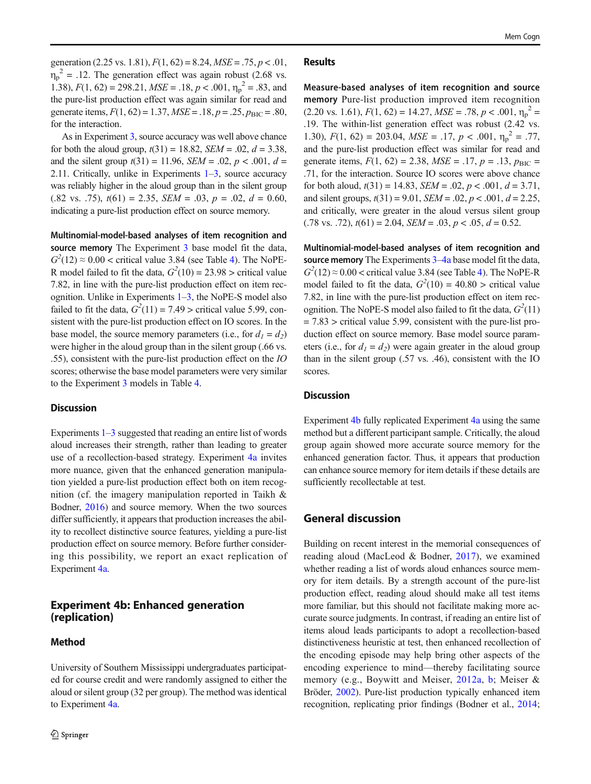<span id="page-9-0"></span>generation (2.25 vs. 1.81),  $F(1, 62) = 8.24$ ,  $MSE = .75$ ,  $p < .01$ ,  $\eta_p^2$  = .12. The generation effect was again robust (2.68 vs. 1.38),  $F(1, 62) = 298.21$ ,  $MSE = .18$ ,  $p < .001$ ,  $\eta_p^2 = .83$ , and the pure-list production effect was again similar for read and generate items,  $F(1, 62) = 1.37$ ,  $MSE = .18$ ,  $p = .25$ ,  $p_{BIC} = .80$ , for the interaction.

As in Experiment [3,](#page-7-0) source accuracy was well above chance for both the aloud group,  $t(31) = 18.82$ ,  $SEM = .02$ ,  $d = 3.38$ , and the silent group  $t(31) = 11.96$ ,  $SEM = .02$ ,  $p < .001$ ,  $d =$ 2.[1](#page-2-0)1. Critically, unlike in Experiments  $1-3$  $1-3$ , source accuracy was reliably higher in the aloud group than in the silent group  $(.82 \text{ vs. } .75), t(61) = 2.35, \text{ SEM} = .03, p = .02, d = 0.60,$ indicating a pure-list production effect on source memory.

Multinomial-model-based analyses of item recognition and source memory The Experiment [3](#page-7-0) base model fit the data,  $G<sup>2</sup>(12) \approx 0.00$  < critical value 3.8[4](#page-6-0) (see Table 4). The NoPE-R model failed to fit the data,  $G^2(10) = 23.98$  > critical value 7.82, in line with the pure-list production effect on item recognition. Unlike in Experiments  $1-3$  $1-3$  $1-3$ , the NoPE-S model also failed to fit the data,  $G^2(11) = 7.49$  > critical value 5.99, consistent with the pure-list production effect on IO scores. In the base model, the source memory parameters (i.e., for  $d_1 = d_2$ ) were higher in the aloud group than in the silent group (.66 vs. .55), consistent with the pure-list production effect on the IO scores; otherwise the base model parameters were very similar to the Experiment [3](#page-7-0) models in Table [4.](#page-6-0)

#### **Discussion**

Experiments  $1-3$  $1-3$  $1-3$  suggested that reading an entire list of words aloud increases their strength, rather than leading to greater use of a recollection-based strategy. Experiment [4a](#page-8-0) invites more nuance, given that the enhanced generation manipulation yielded a pure-list production effect both on item recognition (cf. the imagery manipulation reported in Taikh & Bodner, [2016\)](#page-13-0) and source memory. When the two sources differ sufficiently, it appears that production increases the ability to recollect distinctive source features, yielding a pure-list production effect on source memory. Before further considering this possibility, we report an exact replication of Experiment [4a.](#page-8-0)

# Experiment 4b: Enhanced generation (replication)

### Method

University of Southern Mississippi undergraduates participated for course credit and were randomly assigned to either the aloud or silent group (32 per group). The method was identical to Experiment [4a](#page-8-0).

#### **Results**

Measure-based analyses of item recognition and source memory Pure-list production improved item recognition  $(2.20 \text{ vs. } 1.61), F(1, 62) = 14.27, MSE = .78, p < .001, \eta_p^2 =$ .19. The within-list generation effect was robust (2.42 vs. 1.30),  $F(1, 62) = 203.04$ ,  $MSE = .17$ ,  $p < .001$ ,  $\eta_p^2 = .77$ , and the pure-list production effect was similar for read and generate items,  $F(1, 62) = 2.38$ ,  $MSE = .17$ ,  $p = .13$ ,  $p_{BIC} =$ .71, for the interaction. Source IO scores were above chance for both aloud,  $t(31) = 14.83$ ,  $SEM = .02$ ,  $p < .001$ ,  $d = 3.71$ , and silent groups,  $t(31) = 9.01$ ,  $SEM = .02$ ,  $p < .001$ ,  $d = 2.25$ , and critically, were greater in the aloud versus silent group  $(.78 \text{ vs. } .72), t(61) = 2.04, \text{ SEM} = .03, p < .05, d = 0.52.$ 

Multinomial-model-based analyses of item recognition and source memory The Experiments [3](#page-7-0)-[4a](#page-8-0) base model fit the data,  $G<sup>2</sup>(12) \approx 0.00 <$  critical value 3.8[4](#page-6-0) (see Table 4). The NoPE-R model failed to fit the data,  $G^2(10) = 40.80$  > critical value 7.82, in line with the pure-list production effect on item recognition. The NoPE-S model also failed to fit the data,  $G^2(11)$  $= 7.83$  > critical value 5.99, consistent with the pure-list production effect on source memory. Base model source parameters (i.e., for  $d_1 = d_2$ ) were again greater in the aloud group than in the silent group (.57 vs. .46), consistent with the IO scores.

#### **Discussion**

Experiment 4b fully replicated Experiment [4a](#page-8-0) using the same method but a different participant sample. Critically, the aloud group again showed more accurate source memory for the enhanced generation factor. Thus, it appears that production can enhance source memory for item details if these details are sufficiently recollectable at test.

# General discussion

Building on recent interest in the memorial consequences of reading aloud (MacLeod & Bodner, [2017\)](#page-12-0), we examined whether reading a list of words aloud enhances source memory for item details. By a strength account of the pure-list production effect, reading aloud should make all test items more familiar, but this should not facilitate making more accurate source judgments. In contrast, if reading an entire list of items aloud leads participants to adopt a recollection-based distinctiveness heuristic at test, then enhanced recollection of the encoding episode may help bring other aspects of the encoding experience to mind—thereby facilitating source memory (e.g., Boywitt and Meiser, [2012a](#page-11-0), [b](#page-11-0); Meiser & Bröder, [2002](#page-12-0)). Pure-list production typically enhanced item recognition, replicating prior findings (Bodner et al., [2014;](#page-11-0)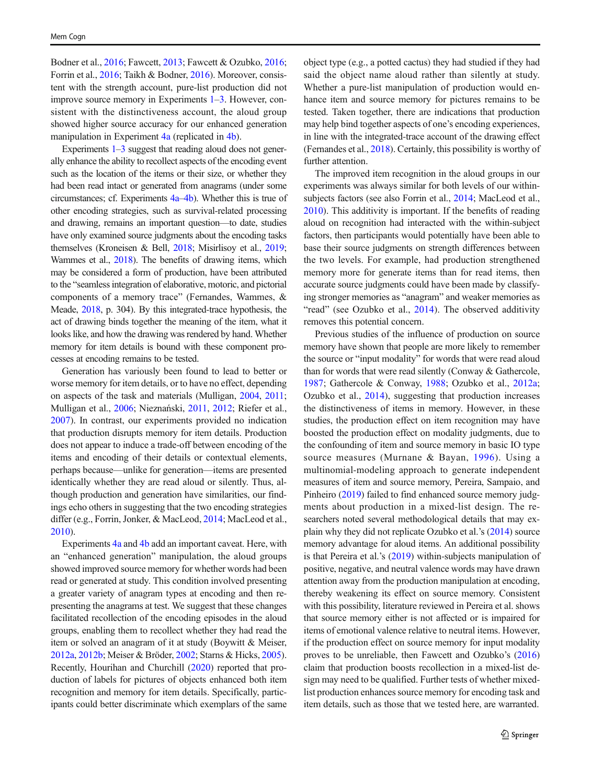Bodner et al., [2016](#page-11-0); Fawcett, [2013;](#page-11-0) Fawcett & Ozubko, [2016](#page-11-0); Forrin et al., [2016;](#page-12-0) Taikh & Bodner, [2016](#page-13-0)). Moreover, consistent with the strength account, pure-list production did not improve source memory in Experiments [1](#page-2-0)–[3](#page-7-0). However, consistent with the distinctiveness account, the aloud group showed higher source accuracy for our enhanced generation manipulation in Experiment [4a](#page-8-0) (replicated in [4b](#page-9-0)).

Experiments  $1-3$  $1-3$  $1-3$  suggest that reading aloud does not generally enhance the ability to recollect aspects of the encoding event such as the location of the items or their size, or whether they had been read intact or generated from anagrams (under some circumstances; cf. Experiments [4a](#page-8-0)–[4b\)](#page-9-0). Whether this is true of other encoding strategies, such as survival-related processing and drawing, remains an important question—to date, studies have only examined source judgments about the encoding tasks themselves (Kroneisen & Bell, [2018;](#page-12-0) Misirlisoy et al., [2019](#page-12-0); Wammes et al., [2018\)](#page-13-0). The benefits of drawing items, which may be considered a form of production, have been attributed to the "seamless integration of elaborative, motoric, and pictorial components of a memory trace" (Fernandes, Wammes, & Meade, [2018](#page-11-0), p. 304). By this integrated-trace hypothesis, the act of drawing binds together the meaning of the item, what it looks like, and how the drawing was rendered by hand. Whether memory for item details is bound with these component processes at encoding remains to be tested.

Generation has variously been found to lead to better or worse memory for item details, or to have no effect, depending on aspects of the task and materials (Mulligan, [2004](#page-12-0), [2011](#page-12-0); Mulligan et al., [2006](#page-12-0); Nieznański, [2011,](#page-12-0) [2012](#page-12-0); Riefer et al., [2007\)](#page-13-0). In contrast, our experiments provided no indication that production disrupts memory for item details. Production does not appear to induce a trade-off between encoding of the items and encoding of their details or contextual elements, perhaps because—unlike for generation—items are presented identically whether they are read aloud or silently. Thus, although production and generation have similarities, our findings echo others in suggesting that the two encoding strategies differ (e.g., Forrin, Jonker, & MacLeod, [2014;](#page-11-0) MacLeod et al., [2010\)](#page-12-0).

Experiments [4a](#page-8-0) and [4b](#page-9-0) add an important caveat. Here, with an "enhanced generation" manipulation, the aloud groups showed improved source memory for whether words had been read or generated at study. This condition involved presenting a greater variety of anagram types at encoding and then representing the anagrams at test. We suggest that these changes facilitated recollection of the encoding episodes in the aloud groups, enabling them to recollect whether they had read the item or solved an anagram of it at study (Boywitt & Meiser, [2012a,](#page-11-0) [2012b;](#page-11-0) Meiser & Bröder, [2002;](#page-12-0) Starns & Hicks, [2005\)](#page-13-0). Recently, Hourihan and Churchill ([2020](#page-12-0)) reported that production of labels for pictures of objects enhanced both item recognition and memory for item details. Specifically, participants could better discriminate which exemplars of the same object type (e.g., a potted cactus) they had studied if they had said the object name aloud rather than silently at study. Whether a pure-list manipulation of production would enhance item and source memory for pictures remains to be tested. Taken together, there are indications that production may help bind together aspects of one's encoding experiences, in line with the integrated-trace account of the drawing effect (Fernandes et al., [2018](#page-11-0)). Certainly, this possibility is worthy of further attention.

The improved item recognition in the aloud groups in our experiments was always similar for both levels of our withinsubjects factors (see also Forrin et al., [2014;](#page-11-0) MacLeod et al., [2010\)](#page-12-0). This additivity is important. If the benefits of reading aloud on recognition had interacted with the within-subject factors, then participants would potentially have been able to base their source judgments on strength differences between the two levels. For example, had production strengthened memory more for generate items than for read items, then accurate source judgments could have been made by classifying stronger memories as "anagram" and weaker memories as "read" (see Ozubko et al., [2014\)](#page-13-0). The observed additivity removes this potential concern.

Previous studies of the influence of production on source memory have shown that people are more likely to remember the source or "input modality" for words that were read aloud than for words that were read silently (Conway & Gathercole, [1987](#page-11-0); Gathercole & Conway, [1988](#page-12-0); Ozubko et al., [2012a;](#page-12-0) Ozubko et al., [2014\)](#page-13-0), suggesting that production increases the distinctiveness of items in memory. However, in these studies, the production effect on item recognition may have boosted the production effect on modality judgments, due to the confounding of item and source memory in basic IO type source measures (Murnane & Bayan, [1996\)](#page-12-0). Using a multinomial-modeling approach to generate independent measures of item and source memory, Pereira, Sampaio, and Pinheiro [\(2019](#page-13-0)) failed to find enhanced source memory judgments about production in a mixed-list design. The researchers noted several methodological details that may explain why they did not replicate Ozubko et al.'s [\(2014\)](#page-13-0) source memory advantage for aloud items. An additional possibility is that Pereira et al.'s ([2019](#page-13-0)) within-subjects manipulation of positive, negative, and neutral valence words may have drawn attention away from the production manipulation at encoding, thereby weakening its effect on source memory. Consistent with this possibility, literature reviewed in Pereira et al. shows that source memory either is not affected or is impaired for items of emotional valence relative to neutral items. However, if the production effect on source memory for input modality proves to be unreliable, then Fawcett and Ozubko's [\(2016](#page-11-0)) claim that production boosts recollection in a mixed-list design may need to be qualified. Further tests of whether mixedlist production enhances source memory for encoding task and item details, such as those that we tested here, are warranted.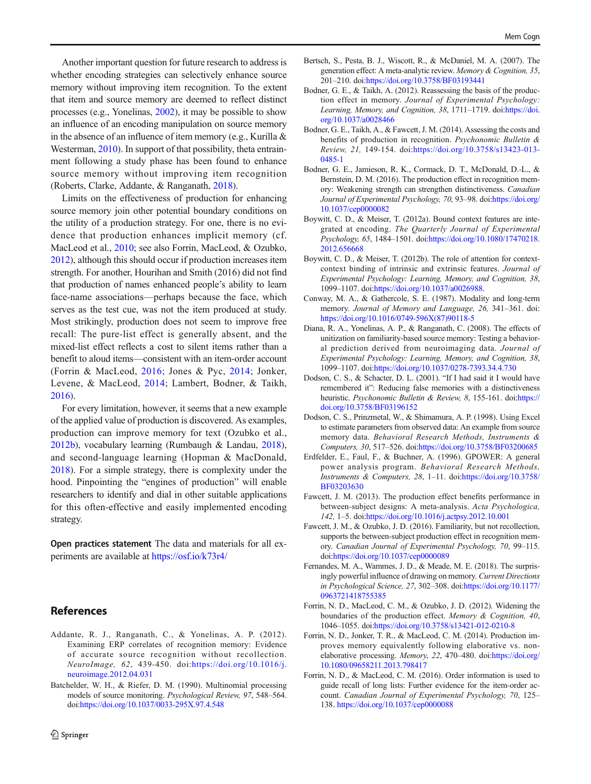<span id="page-11-0"></span>Another important question for future research to address is whether encoding strategies can selectively enhance source memory without improving item recognition. To the extent that item and source memory are deemed to reflect distinct processes (e.g., Yonelinas, [2002](#page-13-0)), it may be possible to show an influence of an encoding manipulation on source memory in the absence of an influence of item memory (e.g., Kurilla & Westerman, [2010](#page-12-0)). In support of that possibility, theta entrainment following a study phase has been found to enhance source memory without improving item recognition (Roberts, Clarke, Addante, & Ranganath, [2018\)](#page-13-0).

Limits on the effectiveness of production for enhancing source memory join other potential boundary conditions on the utility of a production strategy. For one, there is no evidence that production enhances implicit memory (cf. MacLeod et al., [2010;](#page-12-0) see also Forrin, MacLeod, & Ozubko, 2012), although this should occur if production increases item strength. For another, Hourihan and Smith (2016) did not find that production of names enhanced people's ability to learn face-name associations—perhaps because the face, which serves as the test cue, was not the item produced at study. Most strikingly, production does not seem to improve free recall: The pure-list effect is generally absent, and the mixed-list effect reflects a cost to silent items rather than a benefit to aloud items—consistent with an item-order account (Forrin & MacLeod, 2016; Jones & Pyc, [2014](#page-12-0); Jonker, Levene, & MacLeod, [2014](#page-12-0); Lambert, Bodner, & Taikh, [2016\)](#page-12-0).

For every limitation, however, it seems that a new example of the applied value of production is discovered. As examples, production can improve memory for text (Ozubko et al., [2012b\)](#page-12-0), vocabulary learning (Rumbaugh & Landau, [2018](#page-13-0)), and second-language learning (Hopman & MacDonald, [2018\)](#page-12-0). For a simple strategy, there is complexity under the hood. Pinpointing the "engines of production" will enable researchers to identify and dial in other suitable applications for this often-effective and easily implemented encoding strategy.

Open practices statement The data and materials for all experiments are available at [https://osf.io/k73r4/](https://doi.org/https://osf.io/k73r4/)

# References

- Addante, R. J., Ranganath, C., & Yonelinas, A. P. (2012). Examining ERP correlates of recognition memory: Evidence of accurate source recognition without recollection. NeuroImage, 62, 439-450. doi:[https://doi.org/10.1016/j.](https://doi.org/10.1016/j.neuroimage.2012.04.031) [neuroimage.2012.04.031](https://doi.org/10.1016/j.neuroimage.2012.04.031)
- Batchelder, W. H., & Riefer, D. M. (1990). Multinomial processing models of source monitoring. Psychological Review, 97, 548–564. doi:<https://doi.org/10.1037/0033-295X.97.4.548>
- Bertsch, S., Pesta, B. J., Wiscott, R., & McDaniel, M. A. (2007). The generation effect: A meta-analytic review. Memory & Cognition, 35, 201–210. doi[:https://doi.org/10.3758/BF03193441](https://doi.org/10.3758/BF03193441)
- Bodner, G. E., & Taikh, A. (2012). Reassessing the basis of the production effect in memory. Journal of Experimental Psychology: Learning, Memory, and Cognition, 38, 1711-1719. doi[:https://doi.](https://doi.org/10.1037/a0028466) [org/10.1037/a0028466](https://doi.org/10.1037/a0028466)
- Bodner, G. E., Taikh, A., & Fawcett, J. M. (2014). Assessing the costs and benefits of production in recognition. Psychonomic Bulletin & Review, 21, 149-154. doi:[https://doi.org/10.3758/s13423-013-](https://doi.org/10.3758/s13423-013-0485-1) [0485-1](https://doi.org/10.3758/s13423-013-0485-1)
- Bodner, G. E., Jamieson, R. K., Cormack, D. T., McDonald, D.-L., & Bernstein, D. M. (2016). The production effect in recognition memory: Weakening strength can strengthen distinctiveness. Canadian Journal of Experimental Psychology, 70, 93–98. doi[:https://doi.org/](https://doi.org/10.1037/cep0000082) [10.1037/cep0000082](https://doi.org/10.1037/cep0000082)
- Boywitt, C. D., & Meiser, T. (2012a). Bound context features are integrated at encoding. The Quarterly Journal of Experimental Psychology, 65, 1484–1501. doi[:https://doi.org/10.1080/17470218.](https://doi.org/10.1080/17470218.2012.656668) [2012.656668](https://doi.org/10.1080/17470218.2012.656668)
- Boywitt, C. D., & Meiser, T. (2012b). The role of attention for contextcontext binding of intrinsic and extrinsic features. Journal of Experimental Psychology: Learning, Memory, and Cognition, 38, 1099–1107. doi[:https://doi.org/10.1037/a0026988](https://doi.org/10.1037/a0026988).
- Conway, M. A., & Gathercole, S. E. (1987). Modality and long-term memory. Journal of Memory and Language, 26, 341–361. doi: [https://doi.org/10.1016/0749-596X\(87\)90118-5](https://doi.org/10.1016/0749-596X(87)90118-5)
- Diana, R. A., Yonelinas, A. P., & Ranganath, C. (2008). The effects of unitization on familiarity-based source memory: Testing a behavioral prediction derived from neuroimaging data. Journal of Experimental Psychology: Learning, Memory, and Cognition, 38, 1099–1107. doi[:https://doi.org/10.1037/0278-7393.34.4.730](https://doi.org/10.1037/0278-7393.34.4.730)
- Dodson, C. S., & Schacter, D. L. (2001). "If I had said it I would have remembered it": Reducing false memories with a distinctiveness heuristic. Psychonomic Bulletin & Review, 8, 155-161. doi:[https://](https://doi.org/10.3758/BF03196152) [doi.org/10.3758/BF03196152](https://doi.org/10.3758/BF03196152)
- Dodson, C. S., Prinzmetal, W., & Shimamura, A. P. (1998). Using Excel to estimate parameters from observed data: An example from source memory data. Behavioral Research Methods, Instruments & Computers, 30, 517–526. doi[:https://doi.org/10.3758/BF03200685](https://doi.org/10.3758/BF03200685)
- Erdfelder, E., Faul, F., & Buchner, A. (1996). GPOWER: A general power analysis program. Behavioral Research Methods, Instruments & Computers, 28, 1–11. doi:[https://doi.org/10.3758/](https://doi.org/10.3758/BF03203630) [BF03203630](https://doi.org/10.3758/BF03203630)
- Fawcett, J. M. (2013). The production effect benefits performance in between-subject designs: A meta-analysis. Acta Psychologica, 142, 1–5. doi[:https://doi.org/10.1016/j.actpsy.2012.10.001](https://doi.org/10.1016/j.actpsy.2012.10.001)
- Fawcett, J. M., & Ozubko, J. D. (2016). Familiarity, but not recollection, supports the between-subject production effect in recognition memory. Canadian Journal of Experimental Psychology, 70, 99–115. doi:<https://doi.org/10.1037/cep0000089>
- Fernandes, M. A., Wammes, J. D., & Meade, M. E. (2018). The surprisingly powerful influence of drawing on memory. Current Directions in Psychological Science, 27, 302–308. doi[:https://doi.org/10.1177/](https://doi.org/10.1177/0963721418755385) [0963721418755385](https://doi.org/10.1177/0963721418755385)
- Forrin, N. D., MacLeod, C. M., & Ozubko, J. D. (2012). Widening the boundaries of the production effect. Memory & Cognition, 40, 1046–1055. doi[:https://doi.org/10.3758/s13421-012-0210-8](https://doi.org/10.3758/s13421-012-0210-8)
- Forrin, N. D., Jonker, T. R., & MacLeod, C. M. (2014). Production improves memory equivalently following elaborative vs. nonelaborative processing. Memory, 22, 470–480. doi:[https://doi.org/](https://doi.org/10.1080/09658211.2013.798417) [10.1080/09658211.2013.798417](https://doi.org/10.1080/09658211.2013.798417)
- Forrin, N. D., & MacLeod, C. M. (2016). Order information is used to guide recall of long lists: Further evidence for the item-order account. Canadian Journal of Experimental Psychology, 70, 125– 138. <https://doi.org/10.1037/cep0000088>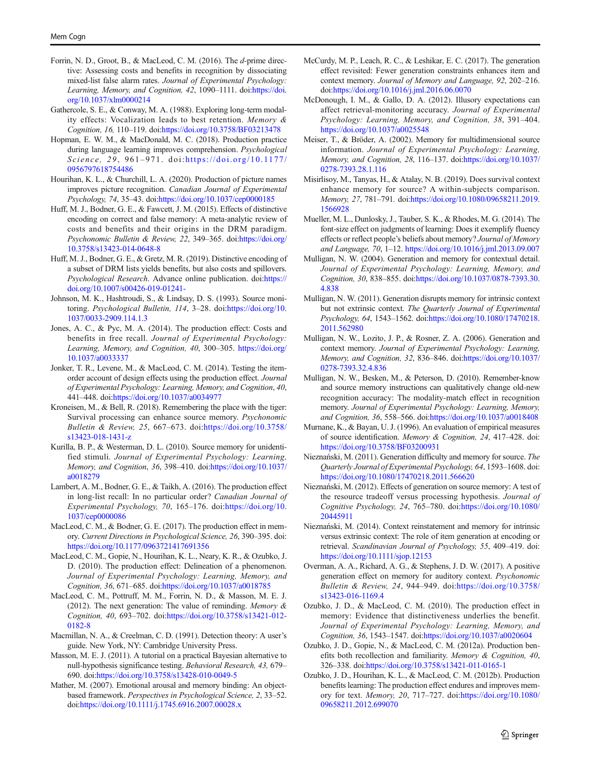- <span id="page-12-0"></span>Forrin, N. D., Groot, B., & MacLeod, C. M. (2016). The d-prime directive: Assessing costs and benefits in recognition by dissociating mixed-list false alarm rates. Journal of Experimental Psychology: Learning, Memory, and Cognition, 42, 1090-1111. doi[:https://doi.](https://doi.org/10.1037/xlm0000214) [org/10.1037/xlm0000214](https://doi.org/10.1037/xlm0000214)
- Gathercole, S. E., & Conway, M. A. (1988). Exploring long-term modality effects: Vocalization leads to best retention. Memory & Cognition, 16, 110–119. doi[:https://doi.org/10.3758/BF03213478](https://doi.org/10.3758/BF03213478)
- Hopman, E. W. M., & MacDonald, M. C. (2018). Production practice during language learning improves comprehension. Psychological Science, 29, 961–971. doi:[https://doi.org/10.1177/](https://doi.org/10.1177/0956797618754486) [0956797618754486](https://doi.org/10.1177/0956797618754486)
- Hourihan, K. L., & Churchill, L. A. (2020). Production of picture names improves picture recognition. Canadian Journal of Experimental Psychology, 74, 35–43. doi:<https://doi.org/10.1037/cep0000185>
- Huff, M. J., Bodner, G. E., & Fawcett, J. M. (2015). Effects of distinctive encoding on correct and false memory: A meta-analytic review of costs and benefits and their origins in the DRM paradigm. Psychonomic Bulletin & Review, 22, 349–365. doi[:https://doi.org/](https://doi.org/10.3758/s13423-014-0648-8) [10.3758/s13423-014-0648-8](https://doi.org/10.3758/s13423-014-0648-8)
- Huff, M. J., Bodner, G. E., & Gretz, M. R. (2019). Distinctive encoding of a subset of DRM lists yields benefits, but also costs and spillovers. Psychological Research. Advance online publication. doi[:https://](https://doi.org/10.1007/s00426-019-01241-) [doi.org/10.1007/s00426-019-01241-](https://doi.org/10.1007/s00426-019-01241-)
- Johnson, M. K., Hashtroudi, S., & Lindsay, D. S. (1993). Source monitoring. Psychological Bulletin, 114, 3-28. doi:[https://doi.org/10.](https://doi.org/10.1037/0033-2909.114.1.3) [1037/0033-2909.114.1.3](https://doi.org/10.1037/0033-2909.114.1.3)
- Jones, A. C., & Pyc, M. A. (2014). The production effect: Costs and benefits in free recall. Journal of Experimental Psychology: Learning, Memory, and Cognition, 40, 300–305. [https://doi.org/](https://doi.org/10.1037/a0033337) [10.1037/a0033337](https://doi.org/10.1037/a0033337)
- Jonker, T. R., Levene, M., & MacLeod, C. M. (2014). Testing the itemorder account of design effects using the production effect. Journal of Experimental Psychology: Learning, Memory, and Cognition, 40, 441–448. doi[:https://doi.org/10.1037/a0034977](https://doi.org/10.1037/a0034977)
- Kroneisen, M., & Bell, R. (2018). Remembering the place with the tiger: Survival processing can enhance source memory. Psychonomic Bulletin & Review, 25, 667–673. doi[:https://doi.org/10.3758/](https://doi.org/10.3758/s13423-018-1431-z) [s13423-018-1431-z](https://doi.org/10.3758/s13423-018-1431-z)
- Kurilla, B. P., & Westerman, D. L. (2010). Source memory for unidentified stimuli. Journal of Experimental Psychology: Learning, Memory, and Cognition, 36, 398–410. doi[:https://doi.org/10.1037/](https://doi.org/10.1037/a0018279) [a0018279](https://doi.org/10.1037/a0018279)
- Lambert, A. M., Bodner, G. E., & Taikh, A. (2016). The production effect in long-list recall: In no particular order? Canadian Journal of Experimental Psychology, 70, 165–176. doi:[https://doi.org/10.](https://doi.org/10.1037/cep0000086) [1037/cep0000086](https://doi.org/10.1037/cep0000086)
- MacLeod, C. M., & Bodner, G. E. (2017). The production effect in memory. Current Directions in Psychological Science, 26, 390–395. doi: <https://doi.org/10.1177/0963721417691356>
- MacLeod, C. M., Gopie, N., Hourihan, K. L., Neary, K. R., & Ozubko, J. D. (2010). The production effect: Delineation of a phenomenon. Journal of Experimental Psychology: Learning, Memory, and Cognition, 36, 671–685. doi:<https://doi.org/10.1037/a0018785>
- MacLeod, C. M., Pottruff, M. M., Forrin, N. D., & Masson, M. E. J. (2012). The next generation: The value of reminding. Memory & Cognition, 40, 693–702. doi[:https://doi.org/10.3758/s13421-012-](https://doi.org/10.3758/s13421-012-0182-8) [0182-8](https://doi.org/10.3758/s13421-012-0182-8)
- Macmillan, N. A., & Creelman, C. D. (1991). Detection theory: A user's guide. New York, NY: Cambridge University Press.
- Masson, M. E. J. (2011). A tutorial on a practical Bayesian alternative to null-hypothesis significance testing. Behavioral Research, 43, 679– 690. doi[:https://doi.org/10.3758/s13428-010-0049-5](https://doi.org/10.3758/s13428-010-0049-5)
- Mather, M. (2007). Emotional arousal and memory binding: An objectbased framework. Perspectives in Psychological Science, 2, 33–52. doi:<https://doi.org/10.1111/j.1745.6916.2007.00028.x>
- McCurdy, M. P., Leach, R. C., & Leshikar, E. C. (2017). The generation effect revisited: Fewer generation constraints enhances item and context memory. Journal of Memory and Language, 92, 202–216. doi:<https://doi.org/10.1016/j.jml.2016.06.0070>
- McDonough, I. M., & Gallo, D. A. (2012). Illusory expectations can affect retrieval-monitoring accuracy. Journal of Experimental Psychology: Learning, Memory, and Cognition, 38, 391–404. <https://doi.org/10.1037/a0025548>
- Meiser, T., & Bröder, A. (2002). Memory for multidimensional source information. Journal of Experimental Psychology: Learning, Memory, and Cognition, 28, 116–137. doi[:https://doi.org/10.1037/](https://doi.org/10.1037/0278-7393.28.1.116) [0278-7393.28.1.116](https://doi.org/10.1037/0278-7393.28.1.116)
- Misirlisoy, M., Tanyas, H., & Atalay, N. B. (2019). Does survival context enhance memory for source? A within-subjects comparison. Memory, 27, 781–791. doi[:https://doi.org/10.1080/09658211.2019.](https://doi.org/10.1080/09658211.2019.1566928) [1566928](https://doi.org/10.1080/09658211.2019.1566928)
- Mueller, M. L., Dunlosky, J., Tauber, S. K., & Rhodes, M. G. (2014). The font-size effect on judgments of learning: Does it exemplify fluency effects or reflect people's beliefs about memory? Journal of Memory and Language, 70, 1–12. <https://doi.org/10.1016/j.jml.2013.09.007>
- Mulligan, N. W. (2004). Generation and memory for contextual detail. Journal of Experimental Psychology: Learning, Memory, and Cognition, 30, 838–855. doi[:https://doi.org/10.1037/0878-7393.30.](https://doi.org/10.1037/0878-7393.30.4.838) [4.838](https://doi.org/10.1037/0878-7393.30.4.838)
- Mulligan, N. W. (2011). Generation disrupts memory for intrinsic context but not extrinsic context. The Quarterly Journal of Experimental Psychology, 64, 1543–1562. doi[:https://doi.org/10.1080/17470218.](https://doi.org/10.1080/17470218.2011.562980) [2011.562980](https://doi.org/10.1080/17470218.2011.562980)
- Mulligan, N. W., Lozito, J. P., & Rosner, Z. A. (2006). Generation and context memory. Journal of Experimental Psychology: Learning, Memory, and Cognition, 32, 836–846. doi[:https://doi.org/10.1037/](https://doi.org/10.1037/0278-7393.32.4.836) [0278-7393.32.4.836](https://doi.org/10.1037/0278-7393.32.4.836)
- Mulligan, N. W., Besken, M., & Peterson, D. (2010). Remember-know and source memory instructions can qualitatively change old-new recognition accuracy: The modality-match effect in recognition memory. Journal of Experimental Psychology: Learning, Memory, and Cognition, 36, 558–566. doi[:https://doi.org/10.1037/a0018408](https://doi.org/10.1037/a0018408)
- Murnane, K., & Bayan, U. J. (1996). An evaluation of empirical measures of source identification. Memory & Cognition, 24, 417–428. doi: <https://doi.org/10.3758/BF03200931>
- Nieznański, M. (2011). Generation difficulty and memory for source. The Quarterly Journal of Experimental Psychology, 64, 1593–1608. doi: <https://doi.org/10.1080/17470218.2011.566620>
- Nieznański, M. (2012). Effects of generation on source memory: A test of the resource tradeoff versus processing hypothesis. Journal of Cognitive Psychology, 24, 765–780. doi:[https://doi.org/10.1080/](https://doi.org/10.1080/20445911) [20445911](https://doi.org/10.1080/20445911)
- Nieznański, M. (2014). Context reinstatement and memory for intrinsic versus extrinsic context: The role of item generation at encoding or retrieval. Scandinavian Journal of Psychology, 55, 409–419. doi: <https://doi.org/10.1111/sjop.12153>
- Overman, A. A., Richard, A. G., & Stephens, J. D. W. (2017). A positive generation effect on memory for auditory context. Psychonomic Bulletin & Review, 24, 944–949. doi[:https://doi.org/10.3758/](https://doi.org/10.3758/s13423-016-1169.4) [s13423-016-1169.4](https://doi.org/10.3758/s13423-016-1169.4)
- Ozubko, J. D., & MacLeod, C. M. (2010). The production effect in memory: Evidence that distinctiveness underlies the benefit. Journal of Experimental Psychology: Learning, Memory, and Cognition, 36, 1543–1547. doi[:https://doi.org/10.1037/a0020604](https://doi.org/10.1037/a0020604)
- Ozubko, J. D., Gopie, N., & MacLeod, C. M. (2012a). Production benefits both recollection and familiarity. Memory & Cognition, 40, 326–338. doi[:https://doi.org/10.3758/s13421-011-0165-1](https://doi.org/10.3758/s13421-011-0165-1)
- Ozubko, J. D., Hourihan, K. L., & MacLeod, C. M. (2012b). Production benefits learning: The production effect endures and improves memory for text. Memory, 20, 717–727. doi[:https://doi.org/10.1080/](https://doi.org/10.1080/09658211.2012.699070) [09658211.2012.699070](https://doi.org/10.1080/09658211.2012.699070)